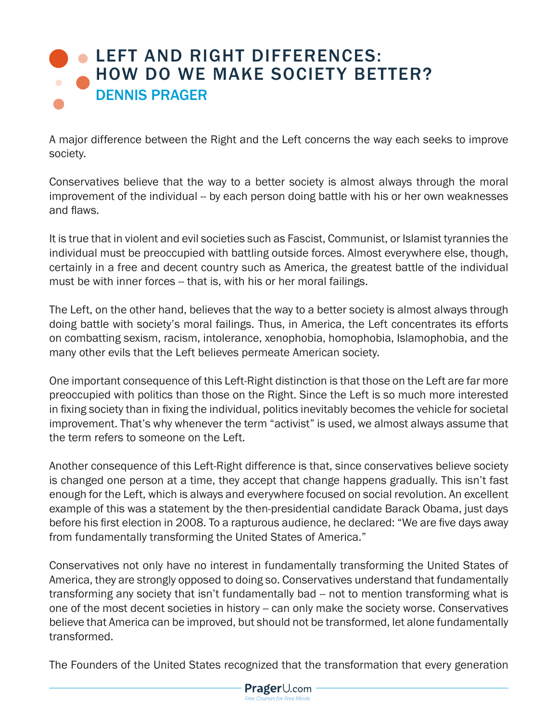## **LEFT AND RIGHT DIFFERENCES:** [HOW DO WE MAKE SOCIETY BETTER?](https://www.prageru.com/courses/left-and-right-differences/how-do-we-make-society-better) DENNIS PRAGER

A major difference between the Right and the Left concerns the way each seeks to improve society.

Conservatives believe that the way to a better society is almost always through the moral improvement of the individual -- by each person doing battle with his or her own weaknesses and flaws.

It is true that in violent and evil societies such as Fascist, Communist, or Islamist tyrannies the individual must be preoccupied with battling outside forces. Almost everywhere else, though, certainly in a free and decent country such as America, the greatest battle of the individual must be with inner forces -- that is, with his or her moral failings.

The Left, on the other hand, believes that the way to a better society is almost always through doing battle with society's moral failings. Thus, in America, the Left concentrates its efforts on combatting sexism, racism, intolerance, xenophobia, homophobia, Islamophobia, and the many other evils that the Left believes permeate American society.

One important consequence of this Left-Right distinction is that those on the Left are far more preoccupied with politics than those on the Right. Since the Left is so much more interested in fixing society than in fixing the individual, politics inevitably becomes the vehicle for societal improvement. That's why whenever the term "activist" is used, we almost always assume that the term refers to someone on the Left.

Another consequence of this Left-Right difference is that, since conservatives believe society is changed one person at a time, they accept that change happens gradually. This isn't fast enough for the Left, which is always and everywhere focused on social revolution. An excellent example of this was a statement by the then-presidential candidate Barack Obama, just days before his first election in 2008. To a rapturous audience, he declared: "We are five days away from fundamentally transforming the United States of America."

Conservatives not only have no interest in fundamentally transforming the United States of America, they are strongly opposed to doing so. Conservatives understand that fundamentally transforming any society that isn't fundamentally bad -- not to mention transforming what is one of the most decent societies in history -- can only make the society worse. Conservatives believe that America can be improved, but should not be transformed, let alone fundamentally transformed.

The Founders of the United States recognized that the transformation that every generation